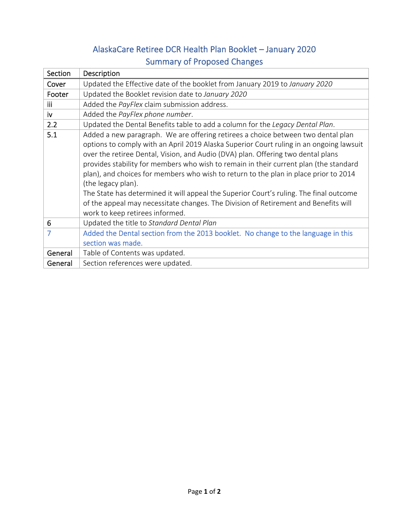## AlaskaCare Retiree DCR Health Plan Booklet – January 2020 Summary of Proposed Changes

| Section    | Description                                                                             |
|------------|-----------------------------------------------------------------------------------------|
| Cover      | Updated the Effective date of the booklet from January 2019 to January 2020             |
| Footer     | Updated the Booklet revision date to January 2020                                       |
| <b>iii</b> | Added the PayFlex claim submission address.                                             |
| iv         | Added the PayFlex phone number.                                                         |
| 2.2        | Updated the Dental Benefits table to add a column for the Legacy Dental Plan.           |
| 5.1        | Added a new paragraph. We are offering retirees a choice between two dental plan        |
|            | options to comply with an April 2019 Alaska Superior Court ruling in an ongoing lawsuit |
|            | over the retiree Dental, Vision, and Audio (DVA) plan. Offering two dental plans        |
|            | provides stability for members who wish to remain in their current plan (the standard   |
|            | plan), and choices for members who wish to return to the plan in place prior to 2014    |
|            | (the legacy plan).                                                                      |
|            | The State has determined it will appeal the Superior Court's ruling. The final outcome  |
|            | of the appeal may necessitate changes. The Division of Retirement and Benefits will     |
|            | work to keep retirees informed.                                                         |
| 6          | Updated the title to Standard Dental Plan                                               |
| 7          | Added the Dental section from the 2013 booklet. No change to the language in this       |
|            | section was made.                                                                       |
| General    | Table of Contents was updated.                                                          |
| General    | Section references were updated.                                                        |